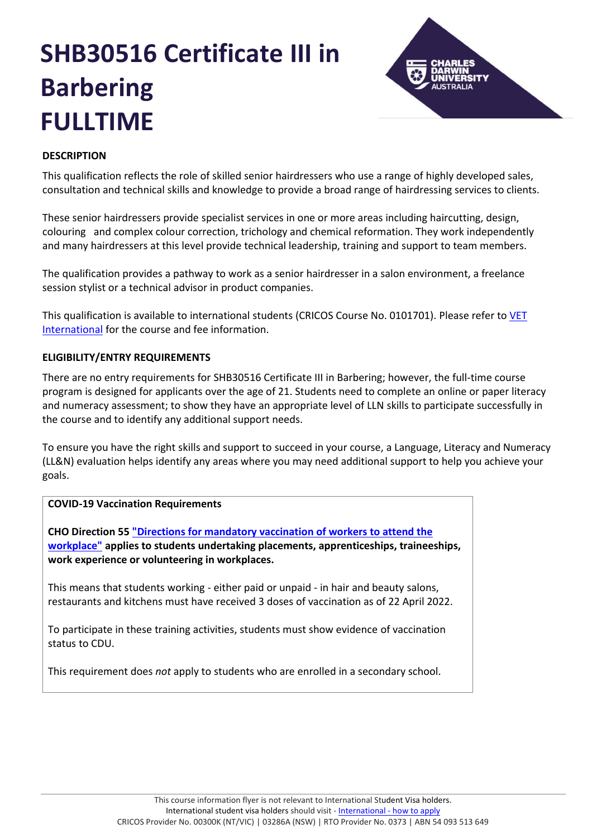# **SHB30516 Certificate III in Barbering FULLTIME**



## **DESCRIPTION**

This qualification reflects the role of skilled senior hairdressers who use a range of highly developed sales, consultation and technical skills and knowledge to provide a broad range of hairdressing services to clients.

These senior hairdressers provide specialist services in one or more areas including haircutting, design, colouring and complex colour correction, trichology and chemical reformation. They work independently and many hairdressers at this level provide technical leadership, training and support to team members.

The qualification provides a pathway to work as a senior hairdresser in a salon environment, a freelance session stylist or a technical advisor in product companies.

This qualification is available to international students (CRICOS Course No. 0101701). Please refer to [VET](https://www.cdu.edu.au/international/international-vet-packages)  [International](https://www.cdu.edu.au/international/international-vet-packages) for the course and fee information.

## **ELIGIBILITY/ENTRY REQUIREMENTS**

There are no entry requirements for SHB30516 Certificate III in Barbering; however, the full-time course program is designed for applicants over the age of 21. Students need to complete an online or paper literacy and numeracy assessment; to show they have an appropriate level of LLN skills to participate successfully in the course and to identify any additional support needs.

To ensure you have the right skills and support to succeed in your course, a Language, Literacy and Numeracy (LL&N) evaluation helps identify any areas where you may need additional support to help you achieve your goals.

## **COVID-19 Vaccination Requirements**

**CHO Direction 5[5 "Directions for mandatory vaccination of workers to attend the](https://ask.cdu.edu.au/rd?1=AvMe~wroDv8S~xb~Gv82~yJg7Okpri77Mv8A~z7~Pv~J&2=12869)  [workplace"](https://ask.cdu.edu.au/rd?1=AvMe~wroDv8S~xb~Gv82~yJg7Okpri77Mv8A~z7~Pv~J&2=12869) applies to students undertaking placements, apprenticeships, traineeships, work experience or volunteering in workplaces.** 

This means that students working - either paid or unpaid - in hair and beauty salons, restaurants and kitchens must have received 3 doses of vaccination as of 22 April 2022.

To participate in these training activities, students must show evidence of vaccination status to CDU.

This requirement does *not* apply to students who are enrolled in a secondary school.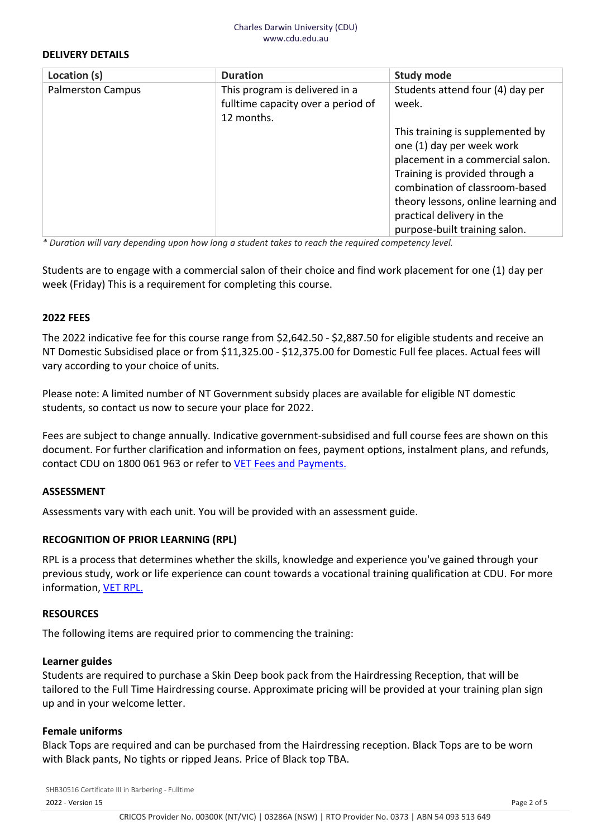#### **DELIVERY DETAILS**

| Location (s)             | <b>Duration</b>                                                                    | <b>Study mode</b>                                                                                                                                                                                                                                                          |
|--------------------------|------------------------------------------------------------------------------------|----------------------------------------------------------------------------------------------------------------------------------------------------------------------------------------------------------------------------------------------------------------------------|
| <b>Palmerston Campus</b> | This program is delivered in a<br>fulltime capacity over a period of<br>12 months. | Students attend four (4) day per<br>week.                                                                                                                                                                                                                                  |
|                          |                                                                                    | This training is supplemented by<br>one (1) day per week work<br>placement in a commercial salon.<br>Training is provided through a<br>combination of classroom-based<br>theory lessons, online learning and<br>practical delivery in the<br>purpose-built training salon. |

*\* Duration will vary depending upon how long a student takes to reach the required competency level.*

Students are to engage with a commercial salon of their choice and find work placement for one (1) day per week (Friday) This is a requirement for completing this course.

#### **2022 FEES**

The 2022 indicative fee for this course range from \$2,642.50 - \$2,887.50 for eligible students and receive an NT Domestic Subsidised place or from \$11,325.00 - \$12,375.00 for Domestic Full fee places. Actual fees will vary according to your choice of units.

Please note: A limited number of NT Government subsidy places are available for eligible NT domestic students, so contact us now to secure your place for 2022.

Fees are subject to change annually. Indicative government-subsidised and full course fees are shown on this document. For further clarification and information on fees, payment options, instalment plans, and refunds, contact CDU on 1800 061 963 or refer to [VET Fees and Payments.](https://www.cdu.edu.au/current-students/student-admin/fees-payments)

## **ASSESSMENT**

Assessments vary with each unit. You will be provided with an assessment guide.

## **RECOGNITION OF PRIOR LEARNING (RPL)**

RPL is a process that determines whether the skills, knowledge and experience you've gained through your previous study, work or life experience can count towards a vocational training qualification at CDU. For more information, [VET RPL.](https://www.cdu.edu.au/study/vocational-education-training/rpl)

#### **RESOURCES**

The following items are required prior to commencing the training:

#### **Learner guides**

Students are required to purchase a Skin Deep book pack from the Hairdressing Reception, that will be tailored to the Full Time Hairdressing course. Approximate pricing will be provided at your training plan sign up and in your welcome letter.

#### **Female uniforms**

Black Tops are required and can be purchased from the Hairdressing reception. Black Tops are to be worn with Black pants, No tights or ripped Jeans. Price of Black top TBA.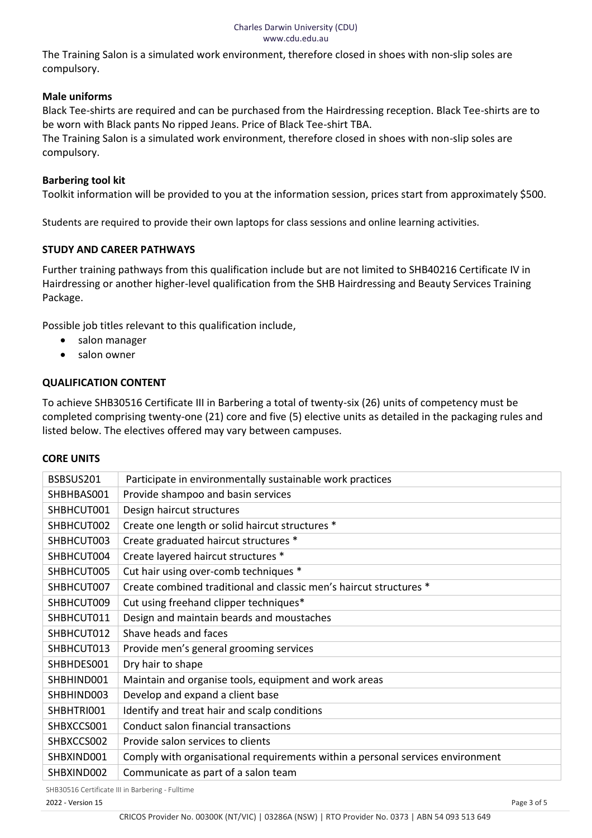#### Charles Darwin University (CDU) www.cdu.edu.au

The Training Salon is a simulated work environment, therefore closed in shoes with non-slip soles are compulsory.

## **Male uniforms**

Black Tee-shirts are required and can be purchased from the Hairdressing reception. Black Tee-shirts are to be worn with Black pants No ripped Jeans. Price of Black Tee-shirt TBA.

The Training Salon is a simulated work environment, therefore closed in shoes with non-slip soles are compulsory.

## **Barbering tool kit**

Toolkit information will be provided to you at the information session, prices start from approximately \$500.

Students are required to provide their own laptops for class sessions and online learning activities.

## **STUDY AND CAREER PATHWAYS**

Further training pathways from this qualification include but are not limited to SHB40216 Certificate IV in Hairdressing or another higher-level qualification from the SHB Hairdressing and Beauty Services Training Package.

Possible job titles relevant to this qualification include,

- salon manager
- salon owner

## **QUALIFICATION CONTENT**

To achieve SHB30516 Certificate III in Barbering a total of twenty-six (26) units of competency must be completed comprising twenty-one (21) core and five (5) elective units as detailed in the packaging rules and listed below. The electives offered may vary between campuses.

## **CORE UNITS**

| BSBSUS201  | Participate in environmentally sustainable work practices                      |
|------------|--------------------------------------------------------------------------------|
| SHBHBAS001 | Provide shampoo and basin services                                             |
| SHBHCUT001 | Design haircut structures                                                      |
| SHBHCUT002 | Create one length or solid haircut structures *                                |
| SHBHCUT003 | Create graduated haircut structures *                                          |
| SHBHCUT004 | Create layered haircut structures *                                            |
| SHBHCUT005 | Cut hair using over-comb techniques *                                          |
| SHBHCUT007 | Create combined traditional and classic men's haircut structures *             |
| SHBHCUT009 | Cut using freehand clipper techniques*                                         |
| SHBHCUT011 | Design and maintain beards and moustaches                                      |
| SHBHCUT012 | Shave heads and faces                                                          |
| SHBHCUT013 | Provide men's general grooming services                                        |
| SHBHDES001 | Dry hair to shape                                                              |
| SHBHIND001 | Maintain and organise tools, equipment and work areas                          |
| SHBHIND003 | Develop and expand a client base                                               |
| SHBHTRI001 | Identify and treat hair and scalp conditions                                   |
| SHBXCCS001 | Conduct salon financial transactions                                           |
| SHBXCCS002 | Provide salon services to clients                                              |
| SHBXIND001 | Comply with organisational requirements within a personal services environment |
| SHBXIND002 | Communicate as part of a salon team                                            |
|            |                                                                                |

SHB30516 Certificate III in Barbering - Fulltime

2022 - Version 15 Page 3 of 5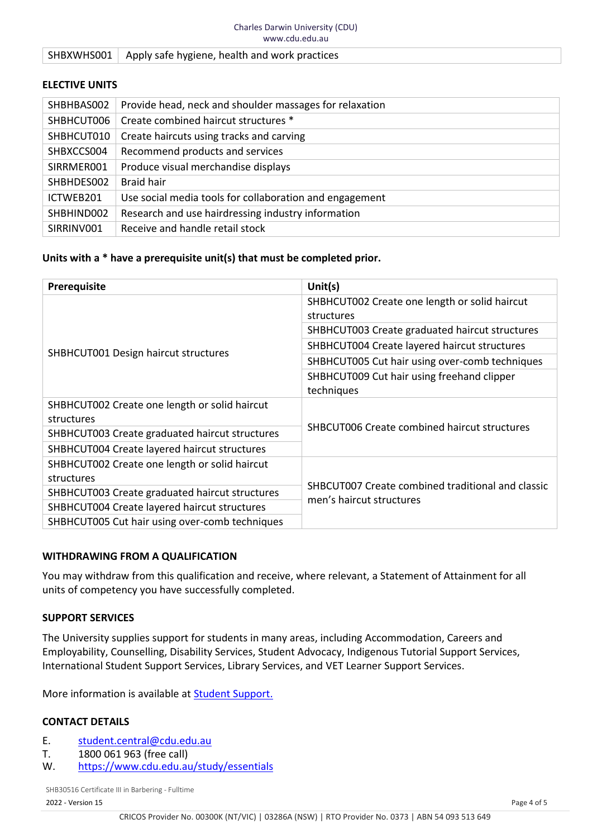#### SHBXWHS001 | Apply safe hygiene, health and work practices

#### **ELECTIVE UNITS**

| SHBHBAS002 | Provide head, neck and shoulder massages for relaxation |
|------------|---------------------------------------------------------|
| SHBHCUT006 | Create combined haircut structures *                    |
| SHBHCUT010 | Create haircuts using tracks and carving                |
| SHBXCCS004 | Recommend products and services                         |
| SIRRMER001 | Produce visual merchandise displays                     |
| SHBHDES002 | <b>Braid hair</b>                                       |
| ICTWEB201  | Use social media tools for collaboration and engagement |
| SHBHIND002 | Research and use hairdressing industry information      |
| SIRRINV001 | Receive and handle retail stock                         |

#### **Units with a \* have a prerequisite unit(s) that must be completed prior.**

| <b>Prerequisite</b>                            | Unit $(s)$                                                                    |  |
|------------------------------------------------|-------------------------------------------------------------------------------|--|
|                                                | SHBHCUT002 Create one length or solid haircut                                 |  |
|                                                | structures                                                                    |  |
|                                                | SHBHCUT003 Create graduated haircut structures                                |  |
| SHBHCUT001 Design haircut structures           | SHBHCUT004 Create layered haircut structures                                  |  |
|                                                | SHBHCUT005 Cut hair using over-comb techniques                                |  |
|                                                | SHBHCUT009 Cut hair using freehand clipper                                    |  |
|                                                | techniques                                                                    |  |
| SHBHCUT002 Create one length or solid haircut  | <b>SHBCUT006 Create combined haircut structures</b>                           |  |
| structures                                     |                                                                               |  |
| SHBHCUT003 Create graduated haircut structures |                                                                               |  |
| SHBHCUT004 Create layered haircut structures   |                                                                               |  |
| SHBHCUT002 Create one length or solid haircut  |                                                                               |  |
| structures                                     | SHBCUT007 Create combined traditional and classic<br>men's haircut structures |  |
| SHBHCUT003 Create graduated haircut structures |                                                                               |  |
| SHBHCUT004 Create layered haircut structures   |                                                                               |  |
| SHBHCUT005 Cut hair using over-comb techniques |                                                                               |  |

#### **WITHDRAWING FROM A QUALIFICATION**

You may withdraw from this qualification and receive, where relevant, a Statement of Attainment for all units of competency you have successfully completed.

#### **SUPPORT SERVICES**

The University supplies support for students in many areas, including Accommodation, Careers and Employability, Counselling, Disability Services, Student Advocacy, Indigenous Tutorial Support Services, International Student Support Services, Library Services, and VET Learner Support Services.

More information is available at **Student Support.** 

## **CONTACT DETAILS**

- E. [student.central@cdu.edu.au](mailto:student.central@cdu.edu.au)
- T. 1800 061 963 (free call)<br>W. https://www.cdu.edu.au
- <https://www.cdu.edu.au/study/essentials>

SHB30516 Certificate III in Barbering - Fulltime